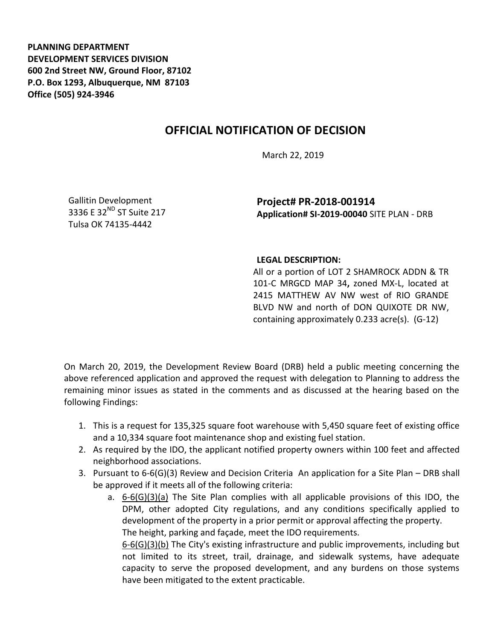**PLANNING DEPARTMENT DEVELOPMENT SERVICES DIVISION 600 2nd Street NW, Ground Floor, 87102 P.O. Box 1293, Albuquerque, NM 87103 Office (505) 924-3946** 

## **OFFICIAL NOTIFICATION OF DECISION**

March 22, 2019

Gallitin Development 3336 E 32<sup>ND</sup> ST Suite 217 Tulsa OK 74135-4442

**Project# PR-2018-001914 Application# SI-2019-00040** SITE PLAN - DRB

## **LEGAL DESCRIPTION:**

All or a portion of LOT 2 SHAMROCK ADDN & TR 101-C MRGCD MAP 34**,** zoned MX-L, located at 2415 MATTHEW AV NW west of RIO GRANDE BLVD NW and north of DON QUIXOTE DR NW, containing approximately 0.233 acre(s). (G-12)

On March 20, 2019, the Development Review Board (DRB) held a public meeting concerning the above referenced application and approved the request with delegation to Planning to address the remaining minor issues as stated in the comments and as discussed at the hearing based on the following Findings:

- 1. This is a request for 135,325 square foot warehouse with 5,450 square feet of existing office and a 10,334 square foot maintenance shop and existing fuel station.
- 2. As required by the IDO, the applicant notified property owners within 100 feet and affected neighborhood associations.
- 3. Pursuant to 6-6(G)(3) Review and Decision Criteria An application for a Site Plan DRB shall be approved if it meets all of the following criteria:
	- a. 6-6(G)(3)(a) The Site Plan complies with all applicable provisions of this IDO, the DPM, other adopted City regulations, and any conditions specifically applied to development of the property in a prior permit or approval affecting the property. The height, parking and façade, meet the IDO requirements. 6-6(G)(3)(b) The City's existing infrastructure and public improvements, including but

not limited to its street, trail, drainage, and sidewalk systems, have adequate capacity to serve the proposed development, and any burdens on those systems have been mitigated to the extent practicable.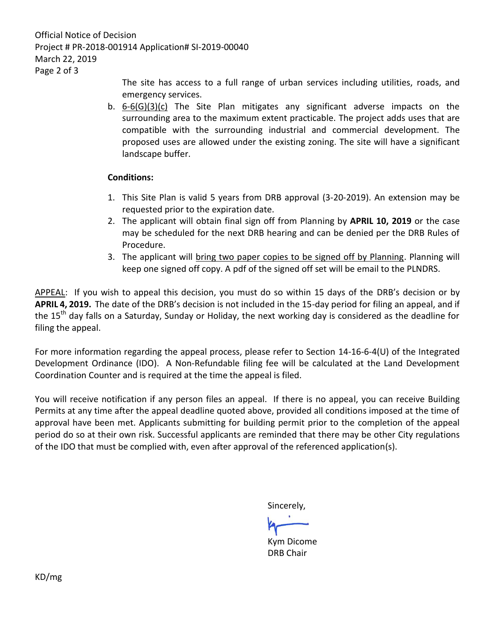Official Notice of Decision Project # PR-2018-001914 Application# SI-2019-00040 March 22, 2019 Page 2 of 3

> The site has access to a full range of urban services including utilities, roads, and emergency services.

b. 6-6(G)(3)(c) The Site Plan mitigates any significant adverse impacts on the surrounding area to the maximum extent practicable. The project adds uses that are compatible with the surrounding industrial and commercial development. The proposed uses are allowed under the existing zoning. The site will have a significant landscape buffer.

## **Conditions:**

- 1. This Site Plan is valid 5 years from DRB approval (3-20-2019). An extension may be requested prior to the expiration date.
- 2. The applicant will obtain final sign off from Planning by **APRIL 10, 2019** or the case may be scheduled for the next DRB hearing and can be denied per the DRB Rules of Procedure.
- 3. The applicant will bring two paper copies to be signed off by Planning. Planning will keep one signed off copy. A pdf of the signed off set will be email to the PLNDRS.

APPEAL: If you wish to appeal this decision, you must do so within 15 days of the DRB's decision or by **APRIL 4, 2019.** The date of the DRB's decision is not included in the 15-day period for filing an appeal, and if the 15<sup>th</sup> day falls on a Saturday, Sunday or Holiday, the next working day is considered as the deadline for filing the appeal.

For more information regarding the appeal process, please refer to Section 14-16-6-4(U) of the Integrated Development Ordinance (IDO). A Non-Refundable filing fee will be calculated at the Land Development Coordination Counter and is required at the time the appeal is filed.

You will receive notification if any person files an appeal. If there is no appeal, you can receive Building Permits at any time after the appeal deadline quoted above, provided all conditions imposed at the time of approval have been met. Applicants submitting for building permit prior to the completion of the appeal period do so at their own risk. Successful applicants are reminded that there may be other City regulations of the IDO that must be complied with, even after approval of the referenced application(s).

Sincerely,

Kym Dicome DRB Chair

KD/mg